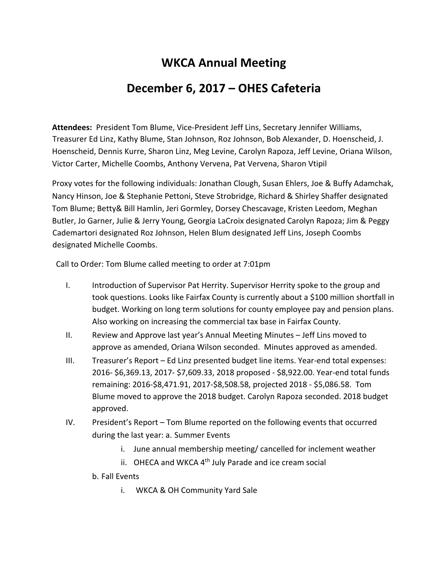## **WKCA Annual Meeting**

## **December 6, 2017 – OHES Cafeteria**

**Attendees:** President Tom Blume, Vice-President Jeff Lins, Secretary Jennifer Williams, Treasurer Ed Linz, Kathy Blume, Stan Johnson, Roz Johnson, Bob Alexander, D. Hoenscheid, J. Hoenscheid, Dennis Kurre, Sharon Linz, Meg Levine, Carolyn Rapoza, Jeff Levine, Oriana Wilson, Victor Carter, Michelle Coombs, Anthony Vervena, Pat Vervena, Sharon Vtipil

Proxy votes for the following individuals: Jonathan Clough, Susan Ehlers, Joe & Buffy Adamchak, Nancy Hinson, Joe & Stephanie Pettoni, Steve Strobridge, Richard & Shirley Shaffer designated Tom Blume; Betty& Bill Hamlin, Jeri Gormley, Dorsey Chescavage, Kristen Leedom, Meghan Butler, Jo Garner, Julie & Jerry Young, Georgia LaCroix designated Carolyn Rapoza; Jim & Peggy Cademartori designated Roz Johnson, Helen Blum designated Jeff Lins, Joseph Coombs designated Michelle Coombs.

Call to Order: Tom Blume called meeting to order at 7:01pm

- I. Introduction of Supervisor Pat Herrity. Supervisor Herrity spoke to the group and took questions. Looks like Fairfax County is currently about a \$100 million shortfall in budget. Working on long term solutions for county employee pay and pension plans. Also working on increasing the commercial tax base in Fairfax County.
- II. Review and Approve last year's Annual Meeting Minutes Jeff Lins moved to approve as amended, Oriana Wilson seconded. Minutes approved as amended.
- III. Treasurer's Report Ed Linz presented budget line items. Year-end total expenses: 2016- \$6,369.13, 2017- \$7,609.33, 2018 proposed - \$8,922.00. Year-end total funds remaining: 2016-\$8,471.91, 2017-\$8,508.58, projected 2018 - \$5,086.58. Tom Blume moved to approve the 2018 budget. Carolyn Rapoza seconded. 2018 budget approved.
- IV. President's Report Tom Blume reported on the following events that occurred during the last year: a. Summer Events
	- i. June annual membership meeting/ cancelled for inclement weather
	- ii. OHECA and WKCA  $4<sup>th</sup>$  July Parade and ice cream social
	- b. Fall Events
		- i. WKCA & OH Community Yard Sale